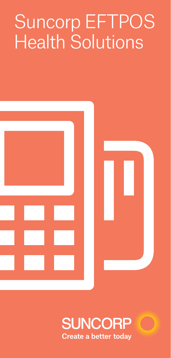# Suncorp EFTPOS Health Solutions



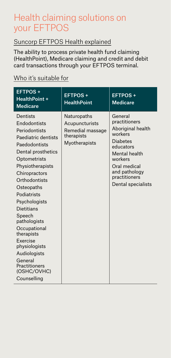## Health claiming solutions on your EFTPOS

#### Suncorp EFTPOS Health explained

The ability to process private health fund claiming (HealthPoint), Medicare claiming and credit and debit card transactions through your EFTPOS terminal.

#### Who it's suitable for

| <b>EFTPOS+</b><br><b>HealthPoint +</b><br><b>Medicare</b>                                                                                                                                                                                                                                                                                                                                                | <b>EFTPOS+</b><br><b>HealthPoint</b>                                             | <b>EFTPOS+</b><br><b>Medicare</b>                                                                                                                                                            |
|----------------------------------------------------------------------------------------------------------------------------------------------------------------------------------------------------------------------------------------------------------------------------------------------------------------------------------------------------------------------------------------------------------|----------------------------------------------------------------------------------|----------------------------------------------------------------------------------------------------------------------------------------------------------------------------------------------|
| Dentists<br>Endodontists<br>Periodontists<br>Paediatric dentists<br>Paedodontists<br>Dental prosthetics<br>Optometrists<br>Physiotherapists<br>Chiropractors<br>Orthodontists<br>Osteopaths<br>Podiatrists<br>Psychologists<br>Dietitians<br>Speech<br>pathologists<br>Occupational<br>therapists<br>Exercise<br>physiologists<br>Audiologists<br>General<br>Practitioners<br>(OSHC/OVHC)<br>Counselling | Naturopaths<br>Acupuncturists<br>Remedial massage<br>therapists<br>Myotherapists | General<br>practitioners<br>Aboriginal health<br>workers<br><b>Diabetes</b><br>educators<br>Mental health<br>workers<br>Oral medical<br>and pathology<br>practitioners<br>Dental specialists |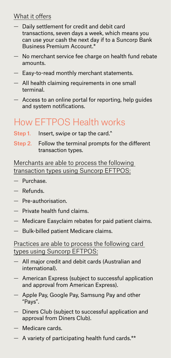#### What it offers

- Daily settlement for credit and debit card transactions, seven days a week, which means you can use your cash the next day if to a Suncorp Bank Business Premium Account.\*
- No merchant service fee charge on health fund rebate amounts.
- Easy-to-read monthly merchant statements.
- $-$  All health claiming requirements in one small terminal.
- Access to an online portal for reporting, help guides and system notifications.

# How EFTPOS Health works

- Step 1. Insert, swipe or tap the card.<sup>^</sup>
- Step 2. Follow the terminal prompts for the different transaction types.

Merchants are able to process the following transaction types using Suncorp EFTPOS:

- Purchase.
- Refunds.
- Pre-authorisation.
- Private health fund claims.
- Medicare Easyclaim rebates for paid patient claims.
- Bulk-billed patient Medicare claims.

#### Practices are able to process the following card types using Suncorp EFTPOS:

- All major credit and debit cards (Australian and international).
- American Express (subject to successful application and approval from American Express).
- Apple Pay, Google Pay, Samsung Pay and other "Pays".
- Diners Club (subject to successful application and approval from Diners Club).
- Medicare cards.
- A variety of participating health fund cards.\*\*